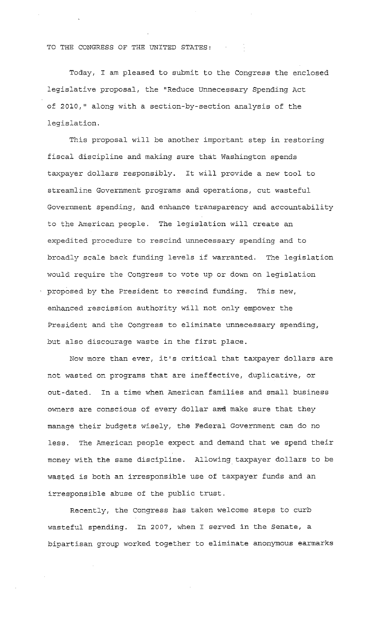#### TO THE CONGRESS OF THE UNITED STATES:

Today, I am pleased to submit to the Congress the enclosed legislative proposal, the "Reduce unnecessary Spending Act of 2010," along with a section-by-section analysis of the legislation.

This proposal will be another important step in restoring fiscal discipline and making sure that Washington spends taxpayer dollars responsibly. It will provide a new tool to streamline Government programs and operations, cut wasteful Government spending, and enhance transparency and accountability to the American people. The legislation will create an expedited procedure to rescind unnecessary spending and to broadly scale back funding levels if warranted. The legislation would require the Congress to vote up or down on legislation proposed by the President to rescind funding. This new, enhanced rescission authority will not only empower the President and the Congress to eliminate unnecessary spending, but also discourage waste in the first place.

Now more than ever, it's critical that taxpayer dollars are not wasted on programs that are ineffective, duplicative, or out-dated. In a time when American families and small business owners are conscious of every dollar and make sure that they manage their budgets wisely, the Federal Government can do no less. The American people expect and demand that we spend their money with the same discipline. Allowing taxpayer dollars to be wasted is both an irresponsible use of taxpayer funds and an irresponsible abuse of the public trust.

Recently, the congress has taken welcome steps to curb wasteful spending. In 2007, when I served in the Senate, a bipartisan group worked together to eliminate anonymous earmarks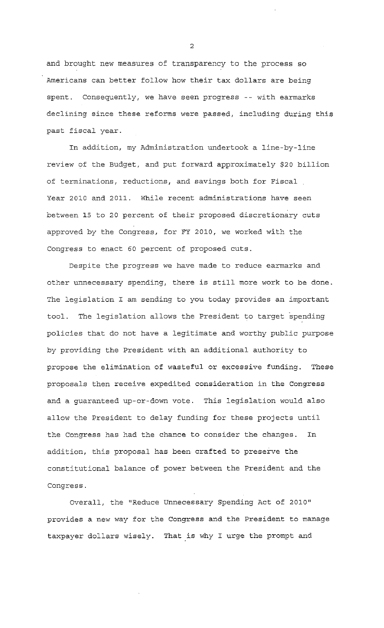and brought new measures of transparency to the process so Americans can better follow how their tax dollars are being spent. Consequently, we have seen progress -- with earmarks declining since these reforms were passed, including during this past fiscal year.

In addition, my Administration undertook a line-by-line review of the Budget, and put forward approximately \$20 billion of terminations, reductions, and savings both for Fiscal Year 2010 and 2011. While recent administrations have seen between 15 to 20 percent of their proposed discretionary cuts approved by the Congress, for FY 2010, we worked with the Congress to enact 60 percent of proposed cuts.

Despite the progress we have made to reduce earmarks and other unnecessary spending, there is still more work to be done. The legislation I am sending to you today provides an important tool. The legislation allows the President to target spending policies that do not have a legitimate and worthy public purpose by providing the President with an additional authority to propose the elimination of wasteful or excessive funding. These proposals then receive expedited consideration in the Congress and a guaranteed up-or-down vote. This legislation would also allow the President to delay funding for these projects until the Congress has had the chance to consider the changes. In addition, this proposal has been crafted to preserve the constitutional balance of power between the President and the Congress.

Overall, the "Reduce Unnecessary Spending Act of 2010" provides a new way for the Congress and the President to manage taxpayer dollars wisely. That is why I urge the prompt and

2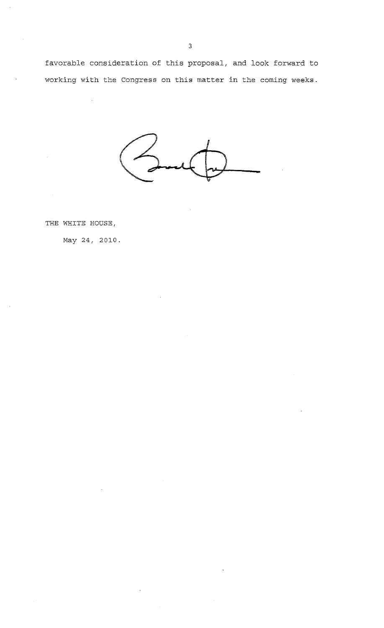favorable consideration of this proposal, and look forward to working with the Congress on this matter in the coming weeks.

THE WHITE HOUSE,

May 24, 2010.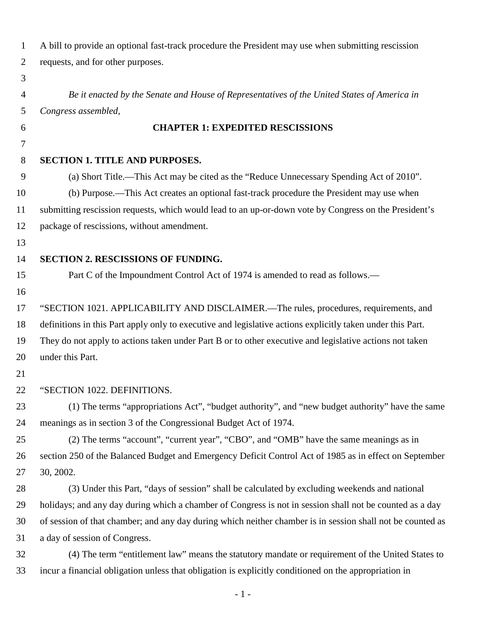| $\mathbf{1}$   | A bill to provide an optional fast-track procedure the President may use when submitting rescission        |
|----------------|------------------------------------------------------------------------------------------------------------|
| $\overline{2}$ | requests, and for other purposes.                                                                          |
| 3              |                                                                                                            |
| 4              | Be it enacted by the Senate and House of Representatives of the United States of America in                |
| 5              | Congress assembled,                                                                                        |
| 6              | <b>CHAPTER 1: EXPEDITED RESCISSIONS</b>                                                                    |
| 7              |                                                                                                            |
| 8              | <b>SECTION 1. TITLE AND PURPOSES.</b>                                                                      |
| 9              | (a) Short Title.—This Act may be cited as the "Reduce Unnecessary Spending Act of 2010".                   |
| 10             | (b) Purpose.—This Act creates an optional fast-track procedure the President may use when                  |
| 11             | submitting rescission requests, which would lead to an up-or-down vote by Congress on the President's      |
| 12             | package of rescissions, without amendment.                                                                 |
| 13             |                                                                                                            |
| 14             | <b>SECTION 2. RESCISSIONS OF FUNDING.</b>                                                                  |
| 15             | Part C of the Impoundment Control Act of 1974 is amended to read as follows.—                              |
| 16             |                                                                                                            |
| 17             | "SECTION 1021. APPLICABILITY AND DISCLAIMER.—The rules, procedures, requirements, and                      |
| 18             | definitions in this Part apply only to executive and legislative actions explicitly taken under this Part. |
| 19             | They do not apply to actions taken under Part B or to other executive and legislative actions not taken    |
| 20             | under this Part.                                                                                           |
| 21             |                                                                                                            |
| 22             | "SECTION 1022. DEFINITIONS.                                                                                |
| 23             | (1) The terms "appropriations Act", "budget authority", and "new budget authority" have the same           |
| 24             | meanings as in section 3 of the Congressional Budget Act of 1974.                                          |
| 25             | (2) The terms "account", "current year", "CBO", and "OMB" have the same meanings as in                     |
| 26             | section 250 of the Balanced Budget and Emergency Deficit Control Act of 1985 as in effect on September     |
| 27             | 30, 2002.                                                                                                  |
| 28             | (3) Under this Part, "days of session" shall be calculated by excluding weekends and national              |
| 29             | holidays; and any day during which a chamber of Congress is not in session shall not be counted as a day   |
| 30             | of session of that chamber; and any day during which neither chamber is in session shall not be counted as |
| 31             | a day of session of Congress.                                                                              |
| 32             | (4) The term "entitlement law" means the statutory mandate or requirement of the United States to          |
| 33             | incur a financial obligation unless that obligation is explicitly conditioned on the appropriation in      |
|                |                                                                                                            |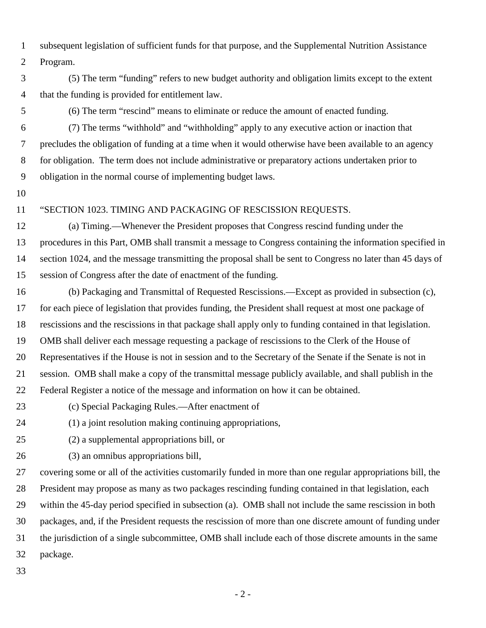1 subsequent legislation of sufficient funds for that purpose, and the Supplemental Nutrition Assistance 2 Program.

3 (5) The term "funding" refers to new budget authority and obligation limits except to the extent 4 that the funding is provided for entitlement law.

5 (6) The term "rescind" means to eliminate or reduce the amount of enacted funding.

6 (7) The terms "withhold" and "withholding" apply to any executive action or inaction that 7 precludes the obligation of funding at a time when it would otherwise have been available to an agency 8 for obligation. The term does not include administrative or preparatory actions undertaken prior to 9 obligation in the normal course of implementing budget laws.

10

### 11 "SECTION 1023. TIMING AND PACKAGING OF RESCISSION REQUESTS.

12 (a) Timing.—Whenever the President proposes that Congress rescind funding under the 13 procedures in this Part, OMB shall transmit a message to Congress containing the information specified in 14 section 1024, and the message transmitting the proposal shall be sent to Congress no later than 45 days of 15 session of Congress after the date of enactment of the funding.

16 (b) Packaging and Transmittal of Requested Rescissions.—Except as provided in subsection (c), 17 for each piece of legislation that provides funding, the President shall request at most one package of 18 rescissions and the rescissions in that package shall apply only to funding contained in that legislation. 19 OMB shall deliver each message requesting a package of rescissions to the Clerk of the House of 20 Representatives if the House is not in session and to the Secretary of the Senate if the Senate is not in 21 session. OMB shall make a copy of the transmittal message publicly available, and shall publish in the 22 Federal Register a notice of the message and information on how it can be obtained.

- 23 (c) Special Packaging Rules.—After enactment of
- 24 (1) a joint resolution making continuing appropriations,
- 

25 (2) a supplemental appropriations bill, or

26 (3) an omnibus appropriations bill,

27 covering some or all of the activities customarily funded in more than one regular appropriations bill, the 28 President may propose as many as two packages rescinding funding contained in that legislation, each 29 within the 45-day period specified in subsection (a). OMB shall not include the same rescission in both 30 packages, and, if the President requests the rescission of more than one discrete amount of funding under 31 the jurisdiction of a single subcommittee, OMB shall include each of those discrete amounts in the same 32 package.

33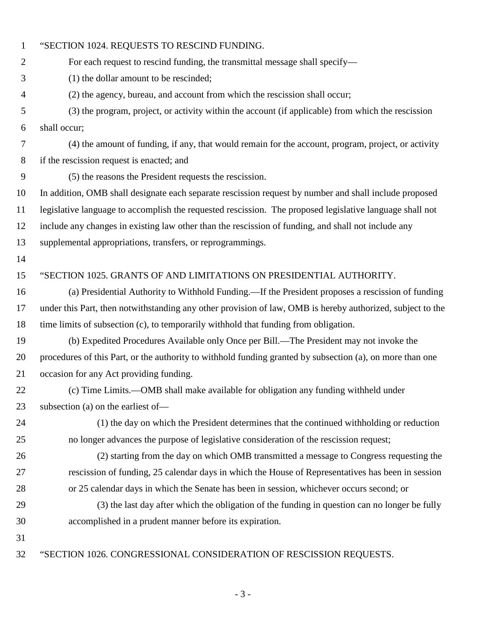| $\mathbf{1}$     | "SECTION 1024. REQUESTS TO RESCIND FUNDING.                                                                |
|------------------|------------------------------------------------------------------------------------------------------------|
| $\overline{2}$   | For each request to rescind funding, the transmittal message shall specify—                                |
| 3                | (1) the dollar amount to be rescinded;                                                                     |
| $\overline{4}$   | (2) the agency, bureau, and account from which the rescission shall occur;                                 |
| 5                | (3) the program, project, or activity within the account (if applicable) from which the rescission         |
| 6                | shall occur;                                                                                               |
| 7                | (4) the amount of funding, if any, that would remain for the account, program, project, or activity        |
| $8\,$            | if the rescission request is enacted; and                                                                  |
| $\boldsymbol{9}$ | (5) the reasons the President requests the rescission.                                                     |
| 10               | In addition, OMB shall designate each separate rescission request by number and shall include proposed     |
| 11               | legislative language to accomplish the requested rescission. The proposed legislative language shall not   |
| 12               | include any changes in existing law other than the rescission of funding, and shall not include any        |
| 13               | supplemental appropriations, transfers, or reprogrammings.                                                 |
| 14               |                                                                                                            |
| 15               | "SECTION 1025. GRANTS OF AND LIMITATIONS ON PRESIDENTIAL AUTHORITY.                                        |
| 16               | (a) Presidential Authority to Withhold Funding.—If the President proposes a rescission of funding          |
| 17               | under this Part, then notwithstanding any other provision of law, OMB is hereby authorized, subject to the |
| 18               | time limits of subsection (c), to temporarily withhold that funding from obligation.                       |
| 19               | (b) Expedited Procedures Available only Once per Bill.—The President may not invoke the                    |
| 20               | procedures of this Part, or the authority to withhold funding granted by subsection (a), on more than one  |
| 21               | occasion for any Act providing funding.                                                                    |
| 22               | (c) Time Limits.—OMB shall make available for obligation any funding withheld under                        |
| 23               | subsection (a) on the earliest of-                                                                         |
| 24               | (1) the day on which the President determines that the continued withholding or reduction                  |
| 25               | no longer advances the purpose of legislative consideration of the rescission request;                     |
| 26               | (2) starting from the day on which OMB transmitted a message to Congress requesting the                    |
| 27               | rescission of funding, 25 calendar days in which the House of Representatives has been in session          |
| 28               | or 25 calendar days in which the Senate has been in session, whichever occurs second; or                   |
| 29               | (3) the last day after which the obligation of the funding in question can no longer be fully              |
| 30               | accomplished in a prudent manner before its expiration.                                                    |
| 31               |                                                                                                            |
| 32               | "SECTION 1026. CONGRESSIONAL CONSIDERATION OF RESCISSION REQUESTS.                                         |

- 3 -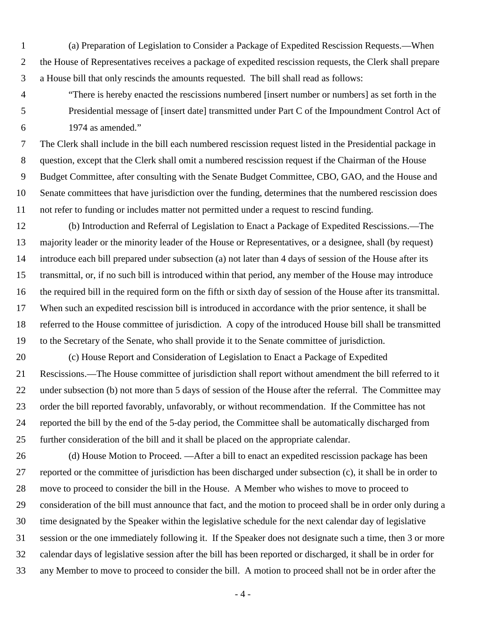1 (a) Preparation of Legislation to Consider a Package of Expedited Rescission Requests.—When 2 the House of Representatives receives a package of expedited rescission requests, the Clerk shall prepare 3 a House bill that only rescinds the amounts requested. The bill shall read as follows:

4 "There is hereby enacted the rescissions numbered [insert number or numbers] as set forth in the 5 Presidential message of [insert date] transmitted under Part C of the Impoundment Control Act of 6 1974 as amended."

7 The Clerk shall include in the bill each numbered rescission request listed in the Presidential package in 8 question, except that the Clerk shall omit a numbered rescission request if the Chairman of the House 9 Budget Committee, after consulting with the Senate Budget Committee, CBO, GAO, and the House and 10 Senate committees that have jurisdiction over the funding, determines that the numbered rescission does 11 not refer to funding or includes matter not permitted under a request to rescind funding.

12 (b) Introduction and Referral of Legislation to Enact a Package of Expedited Rescissions.—The 13 majority leader or the minority leader of the House or Representatives, or a designee, shall (by request) 14 introduce each bill prepared under subsection (a) not later than 4 days of session of the House after its 15 transmittal, or, if no such bill is introduced within that period, any member of the House may introduce 16 the required bill in the required form on the fifth or sixth day of session of the House after its transmittal. 17 When such an expedited rescission bill is introduced in accordance with the prior sentence, it shall be 18 referred to the House committee of jurisdiction. A copy of the introduced House bill shall be transmitted 19 to the Secretary of the Senate, who shall provide it to the Senate committee of jurisdiction.

20 (c) House Report and Consideration of Legislation to Enact a Package of Expedited 21 Rescissions.—The House committee of jurisdiction shall report without amendment the bill referred to it 22 under subsection (b) not more than 5 days of session of the House after the referral. The Committee may 23 order the bill reported favorably, unfavorably, or without recommendation. If the Committee has not 24 reported the bill by the end of the 5-day period, the Committee shall be automatically discharged from 25 further consideration of the bill and it shall be placed on the appropriate calendar.

26 (d) House Motion to Proceed. —After a bill to enact an expedited rescission package has been 27 reported or the committee of jurisdiction has been discharged under subsection (c), it shall be in order to 28 move to proceed to consider the bill in the House. A Member who wishes to move to proceed to 29 consideration of the bill must announce that fact, and the motion to proceed shall be in order only during a 30 time designated by the Speaker within the legislative schedule for the next calendar day of legislative 31 session or the one immediately following it. If the Speaker does not designate such a time, then 3 or more 32 calendar days of legislative session after the bill has been reported or discharged, it shall be in order for 33 any Member to move to proceed to consider the bill. A motion to proceed shall not be in order after the

- 4 -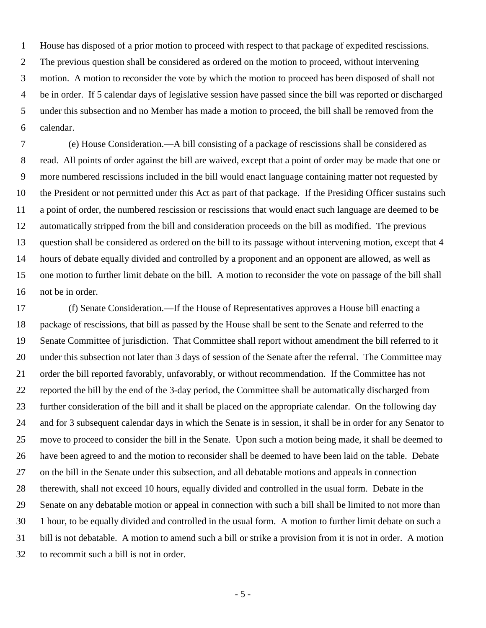1 House has disposed of a prior motion to proceed with respect to that package of expedited rescissions. 2 The previous question shall be considered as ordered on the motion to proceed, without intervening 3 motion. A motion to reconsider the vote by which the motion to proceed has been disposed of shall not 4 be in order. If 5 calendar days of legislative session have passed since the bill was reported or discharged 5 under this subsection and no Member has made a motion to proceed, the bill shall be removed from the 6 calendar.

7 (e) House Consideration.—A bill consisting of a package of rescissions shall be considered as 8 read. All points of order against the bill are waived, except that a point of order may be made that one or 9 more numbered rescissions included in the bill would enact language containing matter not requested by 10 the President or not permitted under this Act as part of that package. If the Presiding Officer sustains such 11 a point of order, the numbered rescission or rescissions that would enact such language are deemed to be 12 automatically stripped from the bill and consideration proceeds on the bill as modified. The previous 13 question shall be considered as ordered on the bill to its passage without intervening motion, except that 4 14 hours of debate equally divided and controlled by a proponent and an opponent are allowed, as well as 15 one motion to further limit debate on the bill. A motion to reconsider the vote on passage of the bill shall 16 not be in order.

17 (f) Senate Consideration.—If the House of Representatives approves a House bill enacting a 18 package of rescissions, that bill as passed by the House shall be sent to the Senate and referred to the 19 Senate Committee of jurisdiction. That Committee shall report without amendment the bill referred to it 20 under this subsection not later than 3 days of session of the Senate after the referral. The Committee may 21 order the bill reported favorably, unfavorably, or without recommendation. If the Committee has not 22 reported the bill by the end of the 3-day period, the Committee shall be automatically discharged from 23 further consideration of the bill and it shall be placed on the appropriate calendar. On the following day 24 and for 3 subsequent calendar days in which the Senate is in session, it shall be in order for any Senator to 25 move to proceed to consider the bill in the Senate. Upon such a motion being made, it shall be deemed to 26 have been agreed to and the motion to reconsider shall be deemed to have been laid on the table. Debate 27 on the bill in the Senate under this subsection, and all debatable motions and appeals in connection 28 therewith, shall not exceed 10 hours, equally divided and controlled in the usual form. Debate in the 29 Senate on any debatable motion or appeal in connection with such a bill shall be limited to not more than 30 1 hour, to be equally divided and controlled in the usual form. A motion to further limit debate on such a 31 bill is not debatable. A motion to amend such a bill or strike a provision from it is not in order. A motion 32 to recommit such a bill is not in order.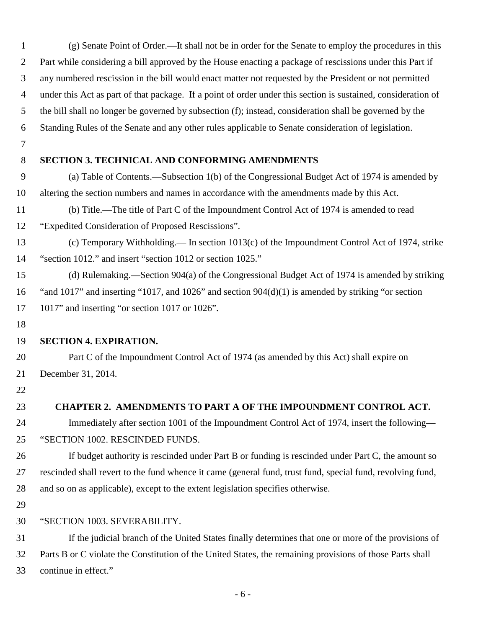| $\mathbf{1}$   | (g) Senate Point of Order.—It shall not be in order for the Senate to employ the procedures in this           |
|----------------|---------------------------------------------------------------------------------------------------------------|
| $\overline{2}$ | Part while considering a bill approved by the House enacting a package of rescissions under this Part if      |
| 3              | any numbered rescission in the bill would enact matter not requested by the President or not permitted        |
| 4              | under this Act as part of that package. If a point of order under this section is sustained, consideration of |
| 5              | the bill shall no longer be governed by subsection (f); instead, consideration shall be governed by the       |
| 6              | Standing Rules of the Senate and any other rules applicable to Senate consideration of legislation.           |
| $\tau$         |                                                                                                               |
| 8              | <b>SECTION 3. TECHNICAL AND CONFORMING AMENDMENTS</b>                                                         |
| 9              | (a) Table of Contents.—Subsection 1(b) of the Congressional Budget Act of 1974 is amended by                  |
| 10             | altering the section numbers and names in accordance with the amendments made by this Act.                    |
| 11             | (b) Title.—The title of Part C of the Impoundment Control Act of 1974 is amended to read                      |
| 12             | "Expedited Consideration of Proposed Rescissions".                                                            |
| 13             | (c) Temporary Withholding.— In section 1013(c) of the Impoundment Control Act of 1974, strike                 |
| 14             | "section 1012." and insert "section 1012 or section 1025."                                                    |
| 15             | (d) Rulemaking.—Section 904(a) of the Congressional Budget Act of 1974 is amended by striking                 |
| 16             | "and $1017$ " and inserting "1017, and $1026$ " and section $904(d)(1)$ is amended by striking "or section    |
| 17             | 1017" and inserting "or section 1017 or 1026".                                                                |
| 18             |                                                                                                               |
| 19             | <b>SECTION 4. EXPIRATION.</b>                                                                                 |
| 20             | Part C of the Impoundment Control Act of 1974 (as amended by this Act) shall expire on                        |
| 21             | December 31, 2014.                                                                                            |
| 22             |                                                                                                               |
| 23             | CHAPTER 2. AMENDMENTS TO PART A OF THE IMPOUNDMENT CONTROL ACT.                                               |
| 24             | Immediately after section 1001 of the Impoundment Control Act of 1974, insert the following—                  |
| 25             | "SECTION 1002. RESCINDED FUNDS.                                                                               |
| 26             | If budget authority is rescinded under Part B or funding is rescinded under Part C, the amount so             |
| 27             | rescinded shall revert to the fund whence it came (general fund, trust fund, special fund, revolving fund,    |
| 28             | and so on as applicable), except to the extent legislation specifies otherwise.                               |
| 29             |                                                                                                               |
| 30             | "SECTION 1003. SEVERABILITY.                                                                                  |
| 31             | If the judicial branch of the United States finally determines that one or more of the provisions of          |
| 32             | Parts B or C violate the Constitution of the United States, the remaining provisions of those Parts shall     |
| 33             | continue in effect."                                                                                          |

- 6 -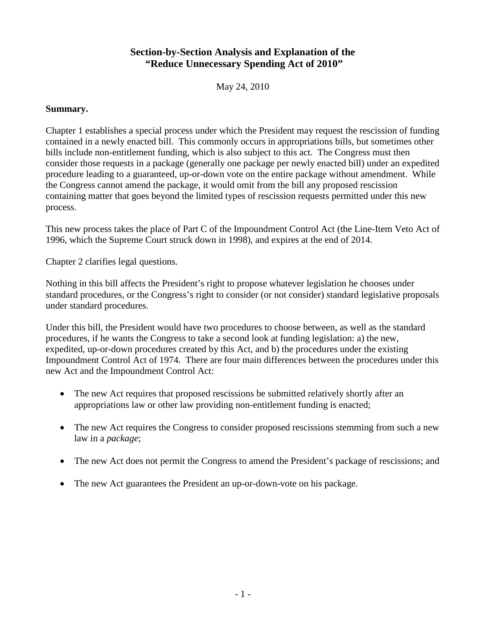# **Section-by-Section Analysis and Explanation of the "Reduce Unnecessary Spending Act of 2010"**

May 24, 2010

### **Summary.**

Chapter 1 establishes a special process under which the President may request the rescission of funding contained in a newly enacted bill. This commonly occurs in appropriations bills, but sometimes other bills include non-entitlement funding, which is also subject to this act. The Congress must then consider those requests in a package (generally one package per newly enacted bill) under an expedited procedure leading to a guaranteed, up-or-down vote on the entire package without amendment. While the Congress cannot amend the package, it would omit from the bill any proposed rescission containing matter that goes beyond the limited types of rescission requests permitted under this new process.

This new process takes the place of Part C of the Impoundment Control Act (the Line-Item Veto Act of 1996, which the Supreme Court struck down in 1998), and expires at the end of 2014.

Chapter 2 clarifies legal questions.

Nothing in this bill affects the President's right to propose whatever legislation he chooses under standard procedures, or the Congress's right to consider (or not consider) standard legislative proposals under standard procedures.

Under this bill, the President would have two procedures to choose between, as well as the standard procedures, if he wants the Congress to take a second look at funding legislation: a) the new, expedited, up-or-down procedures created by this Act, and b) the procedures under the existing Impoundment Control Act of 1974. There are four main differences between the procedures under this new Act and the Impoundment Control Act:

- The new Act requires that proposed rescissions be submitted relatively shortly after an appropriations law or other law providing non-entitlement funding is enacted;
- The new Act requires the Congress to consider proposed rescissions stemming from such a new law in a *package*;
- The new Act does not permit the Congress to amend the President's package of rescissions; and
- The new Act guarantees the President an up-or-down-vote on his package.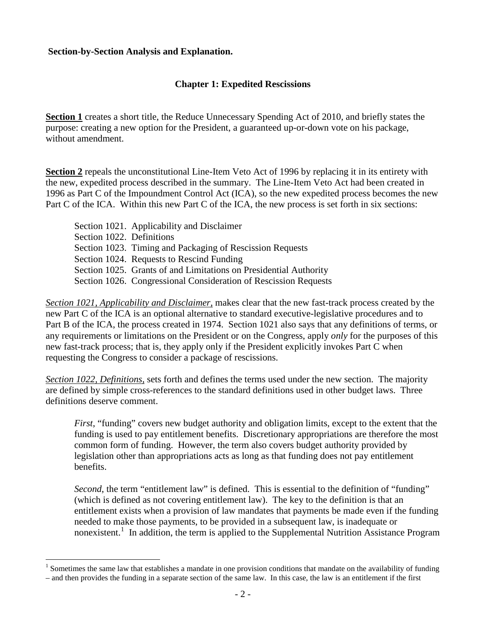### **Section-by-Section Analysis and Explanation.**

 $\overline{a}$ 

## **Chapter 1: Expedited Rescissions**

**Section 1** creates a short title, the Reduce Unnecessary Spending Act of 2010, and briefly states the purpose: creating a new option for the President, a guaranteed up-or-down vote on his package, without amendment.

**Section 2** repeals the unconstitutional Line-Item Veto Act of 1996 by replacing it in its entirety with the new, expedited process described in the summary. The Line-Item Veto Act had been created in 1996 as Part C of the Impoundment Control Act (ICA), so the new expedited process becomes the new Part C of the ICA. Within this new Part C of the ICA, the new process is set forth in six sections:

 Section 1021. Applicability and Disclaimer Section 1022. Definitions Section 1023. Timing and Packaging of Rescission Requests Section 1024. Requests to Rescind Funding Section 1025. Grants of and Limitations on Presidential Authority Section 1026. Congressional Consideration of Rescission Requests

*Section 1021, Applicability and Disclaimer,* makes clear that the new fast-track process created by the new Part C of the ICA is an optional alternative to standard executive-legislative procedures and to Part B of the ICA, the process created in 1974. Section 1021 also says that any definitions of terms, or any requirements or limitations on the President or on the Congress, apply *only* for the purposes of this new fast-track process; that is, they apply only if the President explicitly invokes Part C when requesting the Congress to consider a package of rescissions.

*Section 1022, Definitions,* sets forth and defines the terms used under the new section. The majority are defined by simple cross-references to the standard definitions used in other budget laws. Three definitions deserve comment.

*First*, "funding" covers new budget authority and obligation limits, except to the extent that the funding is used to pay entitlement benefits. Discretionary appropriations are therefore the most common form of funding. However, the term also covers budget authority provided by legislation other than appropriations acts as long as that funding does not pay entitlement benefits.

*Second*, the term "entitlement law" is defined. This is essential to the definition of "funding" (which is defined as not covering entitlement law). The key to the definition is that an entitlement exists when a provision of law mandates that payments be made even if the funding needed to make those payments, to be provided in a subsequent law, is inadequate or nonexistent.<sup>[1](#page-10-0)</sup> In addition, the term is applied to the Supplemental Nutrition Assistance Program

<span id="page-10-0"></span><sup>&</sup>lt;sup>1</sup> Sometimes the same law that establishes a mandate in one provision conditions that mandate on the availability of funding – and then provides the funding in a separate section of the same law. In this case, the law is an entitlement if the first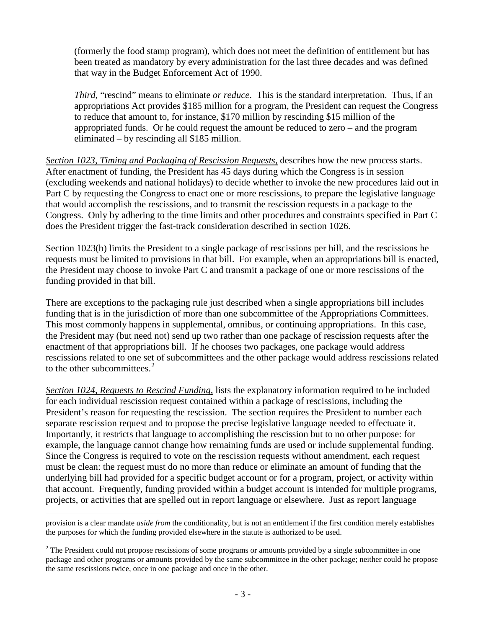(formerly the food stamp program), which does not meet the definition of entitlement but has been treated as mandatory by every administration for the last three decades and was defined that way in the Budget Enforcement Act of 1990.

*Third*, "rescind" means to eliminate *or reduce*. This is the standard interpretation. Thus, if an appropriations Act provides \$185 million for a program, the President can request the Congress to reduce that amount to, for instance, \$170 million by rescinding \$15 million of the appropriated funds. Or he could request the amount be reduced to zero – and the program eliminated – by rescinding all \$185 million.

*Section 1023, Timing and Packaging of Rescission Requests,* describes how the new process starts. After enactment of funding, the President has 45 days during which the Congress is in session (excluding weekends and national holidays) to decide whether to invoke the new procedures laid out in Part C by requesting the Congress to enact one or more rescissions, to prepare the legislative language that would accomplish the rescissions, and to transmit the rescission requests in a package to the Congress. Only by adhering to the time limits and other procedures and constraints specified in Part C does the President trigger the fast-track consideration described in section 1026.

Section 1023(b) limits the President to a single package of rescissions per bill, and the rescissions he requests must be limited to provisions in that bill. For example, when an appropriations bill is enacted, the President may choose to invoke Part C and transmit a package of one or more rescissions of the funding provided in that bill.

There are exceptions to the packaging rule just described when a single appropriations bill includes funding that is in the jurisdiction of more than one subcommittee of the Appropriations Committees. This most commonly happens in supplemental, omnibus, or continuing appropriations. In this case, the President may (but need not) send up two rather than one package of rescission requests after the enactment of that appropriations bill. If he chooses two packages, one package would address rescissions related to one set of subcommittees and the other package would address rescissions related to the other subcommittees.<sup>[2](#page-11-0)</sup>

*Section 1024, Requests to Rescind Funding,* lists the explanatory information required to be included for each individual rescission request contained within a package of rescissions, including the President's reason for requesting the rescission. The section requires the President to number each separate rescission request and to propose the precise legislative language needed to effectuate it. Importantly, it restricts that language to accomplishing the rescission but to no other purpose: for example, the language cannot change how remaining funds are used or include supplemental funding. Since the Congress is required to vote on the rescission requests without amendment, each request must be clean: the request must do no more than reduce or eliminate an amount of funding that the underlying bill had provided for a specific budget account or for a program, project, or activity within that account. Frequently, funding provided within a budget account is intended for multiple programs, projects, or activities that are spelled out in report language or elsewhere. Just as report language

 $\overline{a}$ provision is a clear mandate *aside from* the conditionality, but is not an entitlement if the first condition merely establishes the purposes for which the funding provided elsewhere in the statute is authorized to be used.

<span id="page-11-0"></span> $2$  The President could not propose rescissions of some programs or amounts provided by a single subcommittee in one package and other programs or amounts provided by the same subcommittee in the other package; neither could he propose the same rescissions twice, once in one package and once in the other.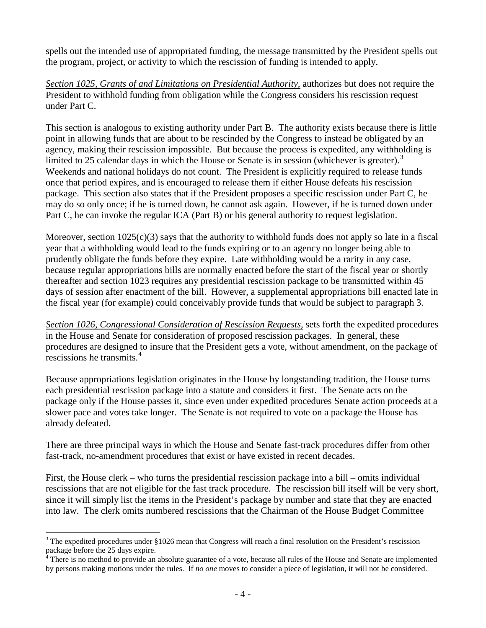spells out the intended use of appropriated funding, the message transmitted by the President spells out the program, project, or activity to which the rescission of funding is intended to apply.

*Section 1025, Grants of and Limitations on Presidential Authority,* authorizes but does not require the President to withhold funding from obligation while the Congress considers his rescission request under Part C.

This section is analogous to existing authority under Part B. The authority exists because there is little point in allowing funds that are about to be rescinded by the Congress to instead be obligated by an agency, making their rescission impossible. But because the process is expedited, any withholding is limited to 25 calendar days in which the House or Senate is in session (whichever is greater).<sup>[3](#page-12-0)</sup> Weekends and national holidays do not count. The President is explicitly required to release funds once that period expires, and is encouraged to release them if either House defeats his rescission package. This section also states that if the President proposes a specific rescission under Part C, he may do so only once; if he is turned down, he cannot ask again. However, if he is turned down under Part C, he can invoke the regular ICA (Part B) or his general authority to request legislation.

Moreover, section  $1025(c)(3)$  says that the authority to withhold funds does not apply so late in a fiscal year that a withholding would lead to the funds expiring or to an agency no longer being able to prudently obligate the funds before they expire. Late withholding would be a rarity in any case, because regular appropriations bills are normally enacted before the start of the fiscal year or shortly thereafter and section 1023 requires any presidential rescission package to be transmitted within 45 days of session after enactment of the bill. However, a supplemental appropriations bill enacted late in the fiscal year (for example) could conceivably provide funds that would be subject to paragraph 3.

*Section 1026, Congressional Consideration of Rescission Requests,* sets forth the expedited procedures in the House and Senate for consideration of proposed rescission packages. In general, these procedures are designed to insure that the President gets a vote, without amendment, on the package of rescissions he transmits.<sup>[4](#page-12-1)</sup>

Because appropriations legislation originates in the House by longstanding tradition, the House turns each presidential rescission package into a statute and considers it first. The Senate acts on the package only if the House passes it, since even under expedited procedures Senate action proceeds at a slower pace and votes take longer. The Senate is not required to vote on a package the House has already defeated.

There are three principal ways in which the House and Senate fast-track procedures differ from other fast-track, no-amendment procedures that exist or have existed in recent decades.

First, the House clerk – who turns the presidential rescission package into a bill – omits individual rescissions that are not eligible for the fast track procedure. The rescission bill itself will be very short, since it will simply list the items in the President's package by number and state that they are enacted into law. The clerk omits numbered rescissions that the Chairman of the House Budget Committee

 $\overline{a}$ 

<span id="page-12-0"></span><sup>&</sup>lt;sup>3</sup> The expedited procedures under §1026 mean that Congress will reach a final resolution on the President's rescission package before the 25 days expire.

<span id="page-12-1"></span> $4$  There is no method to provide an absolute guarantee of a vote, because all rules of the House and Senate are implemented by persons making motions under the rules. If *no one* moves to consider a piece of legislation, it will not be considered.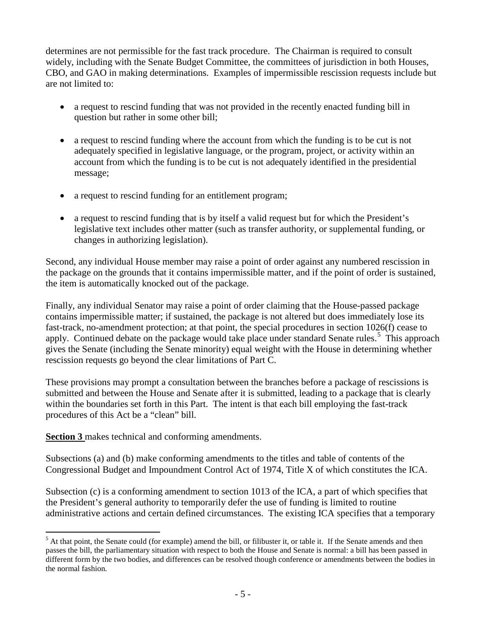determines are not permissible for the fast track procedure. The Chairman is required to consult widely, including with the Senate Budget Committee, the committees of jurisdiction in both Houses, CBO, and GAO in making determinations. Examples of impermissible rescission requests include but are not limited to:

- a request to rescind funding that was not provided in the recently enacted funding bill in question but rather in some other bill;
- a request to rescind funding where the account from which the funding is to be cut is not adequately specified in legislative language, or the program, project, or activity within an account from which the funding is to be cut is not adequately identified in the presidential message;
- a request to rescind funding for an entitlement program;
- a request to rescind funding that is by itself a valid request but for which the President's legislative text includes other matter (such as transfer authority, or supplemental funding, or changes in authorizing legislation).

Second, any individual House member may raise a point of order against any numbered rescission in the package on the grounds that it contains impermissible matter, and if the point of order is sustained, the item is automatically knocked out of the package.

Finally, any individual Senator may raise a point of order claiming that the House-passed package contains impermissible matter; if sustained, the package is not altered but does immediately lose its fast-track, no-amendment protection; at that point, the special procedures in section 1026(f) cease to apply. Continued debate on the package would take place under standard Senate rules.<sup>[5](#page-13-0)</sup> This approach gives the Senate (including the Senate minority) equal weight with the House in determining whether rescission requests go beyond the clear limitations of Part C.

These provisions may prompt a consultation between the branches before a package of rescissions is submitted and between the House and Senate after it is submitted, leading to a package that is clearly within the boundaries set forth in this Part. The intent is that each bill employing the fast-track procedures of this Act be a "clean" bill.

**Section 3** makes technical and conforming amendments.

 $\overline{a}$ 

Subsections (a) and (b) make conforming amendments to the titles and table of contents of the Congressional Budget and Impoundment Control Act of 1974, Title X of which constitutes the ICA.

Subsection (c) is a conforming amendment to section 1013 of the ICA, a part of which specifies that the President's general authority to temporarily defer the use of funding is limited to routine administrative actions and certain defined circumstances. The existing ICA specifies that a temporary

<span id="page-13-0"></span> $<sup>5</sup>$  At that point, the Senate could (for example) amend the bill, or filibuster it, or table it. If the Senate amends and then</sup> passes the bill, the parliamentary situation with respect to both the House and Senate is normal: a bill has been passed in different form by the two bodies, and differences can be resolved though conference or amendments between the bodies in the normal fashion.